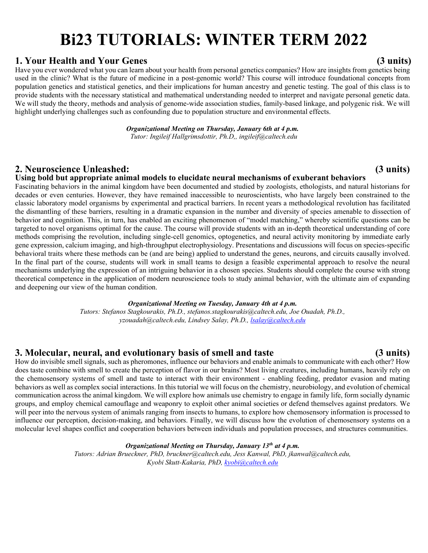# **Bi23 TUTORIALS: WINTER TERM 2022**

# **1. Your Health and Your Genes (3 units)**

Have you ever wondered what you can learn about your health from personal genetics companies? How are insights from genetics being used in the clinic? What is the future of medicine in a post-genomic world? This course will introduce foundational concepts from population genetics and statistical genetics, and their implications for human ancestry and genetic testing. The goal of this class is to provide students with the necessary statistical and mathematical understanding needed to interpret and navigate personal genetic data. We will study the theory, methods and analysis of genome-wide association studies, family-based linkage, and polygenic risk. We will highlight underlying challenges such as confounding due to population structure and environmental effects.

> *Organizational Meeting on Thursday, January 6th at 4 p.m. Tutor: Ingileif Hallgrimsdottir, Ph.D,, ingileif@caltech.edu*

# **2. Neuroscience Unleashed: (3 units)**

### **Using bold but appropriate animal models to elucidate neural mechanisms of exuberant behaviors**

Fascinating behaviors in the animal kingdom have been documented and studied by zoologists, ethologists, and natural historians for decades or even centuries. However, they have remained inaccessible to neuroscientists, who have largely been constrained to the classic laboratory model organisms by experimental and practical barriers. In recent years a methodological revolution has facilitated the dismantling of these barriers, resulting in a dramatic expansion in the number and diversity of species amenable to dissection of behavior and cognition. This, in turn, has enabled an exciting phenomenon of "model matching," whereby scientific questions can be targeted to novel organisms optimal for the cause. The course will provide students with an in-depth theoretical understanding of core methods comprising the revolution, including single-cell genomics, optogenetics, and neural activity monitoring by immediate early gene expression, calcium imaging, and high-throughput electrophysiology. Presentations and discussions will focus on species-specific behavioral traits where these methods can be (and are being) applied to understand the genes, neurons, and circuits causally involved. In the final part of the course, students will work in small teams to design a feasible experimental approach to resolve the neural mechanisms underlying the expression of an intriguing behavior in a chosen species. Students should complete the course with strong theoretical competence in the application of modern neuroscience tools to study animal behavior, with the ultimate aim of expanding and deepening our view of the human condition.

### *Organizational Meeting on Tuesday, January 4th at 4 p.m.*

*Tutors: Stefanos Stagkourakis, Ph.D., stefanos.stagkourakis@caltech.edu, Joe Ouadah, Ph.D., yzouadah@caltech.edu, Lindsey Salay, Ph.D., lsalay@caltech.edu*

# **3. Molecular, neural, and evolutionary basis of smell and taste (3 units)**

How do invisible smell signals, such as pheromones, influence our behaviors and enable animals to communicate with each other? How does taste combine with smell to create the perception of flavor in our brains? Most living creatures, including humans, heavily rely on the chemosensory systems of smell and taste to interact with their environment - enabling feeding, predator evasion and mating behaviors as well as complex social interactions. In this tutorial we will focus on the chemistry, neurobiology, and evolution of chemical communication across the animal kingdom. We will explore how animals use chemistry to engage in family life, form socially dynamic groups, and employ chemical camouflage and weaponry to exploit other animal societies or defend themselves against predators. We will peer into the nervous system of animals ranging from insects to humans, to explore how chemosensory information is processed to influence our perception, decision-making, and behaviors. Finally, we will discuss how the evolution of chemosensory systems on a molecular level shapes conflict and cooperation behaviors between individuals and population processes, and structures communities.

### *Organizational Meeting on Thursday, January 13th at 4 p.m.*

*Tutors: Adrian Brueckner, PhD, bruckner@caltech.edu, Jess Kanwal, PhD, jkanwal@caltech.edu, Kyobi Skutt-Kakaria, PhD, kyobi@caltech.edu*